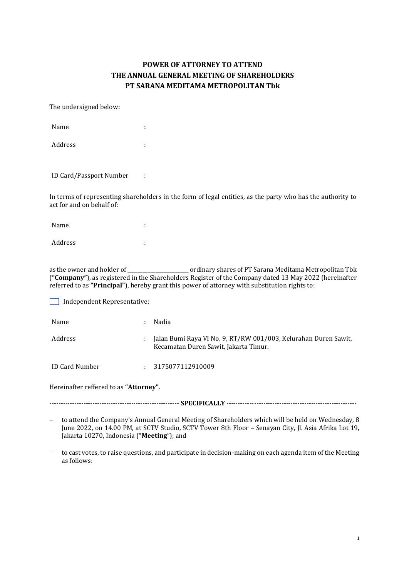## **POWER OF ATTORNEY TO ATTEND THE ANNUAL GENERAL MEETING OF SHAREHOLDERS PT SARANA MEDITAMA METROPOLITAN Tbk**

## The undersigned below:

| Name    | ٠<br>ä, |
|---------|---------|
| Address | ٠<br>٠  |

ID Card/Passport Number :

In terms of representing shareholders in the form of legal entities, as the party who has the authority to act for and on behalf of:

| Name    | ٠<br>٠ |
|---------|--------|
| Address | ٠<br>٠ |

as the owner and holder of \_\_\_\_\_\_\_\_\_\_\_\_\_\_\_\_\_\_\_\_\_\_\_\_ ordinary shares of PT Sarana Meditama Metropolitan Tbk (**"Company"**), as registered in the Shareholders Register of the Company dated 13 May 2022 (hereinafter referred to as **"Principal"**), hereby grant this power of attorney with substitution rights to:

Independent Representative:

| Name           |   | Nadia                                                                                                    |
|----------------|---|----------------------------------------------------------------------------------------------------------|
| Address        | ÷ | Jalan Bumi Raya VI No. 9, RT/RW 001/003, Kelurahan Duren Sawit,<br>Kecamatan Duren Sawit, Jakarta Timur. |
| ID Card Number |   | : 3175077112910009                                                                                       |

Hereinafter reffered to as **"Attorney"**.

--------------------------------------------------------- **SPECIFICALLY** ---------------------------------------------------------

 to attend the Company's Annual General Meeting of Shareholders which will be held on Wednesday, 8 June 2022, on 14.00 PM, at SCTV Studio, SCTV Tower 8th Floor – Senayan City, Jl. Asia Afrika Lot 19, Jakarta 10270, Indonesia ("**Meeting**"); and

 to cast votes, to raise questions, and participate in decision-making on each agenda item of the Meeting as follows: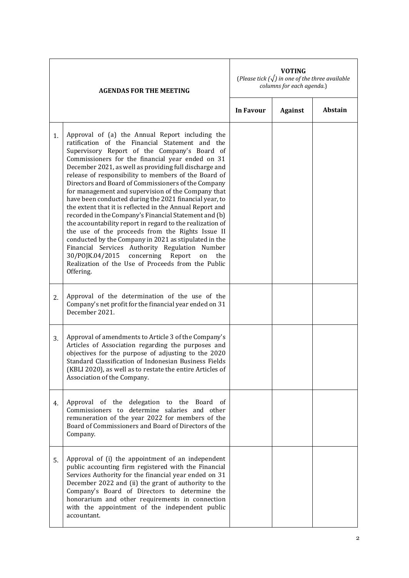| <b>AGENDAS FOR THE MEETING</b> |                                                                                                                                                                                                                                                                                                                                                                                                                                                                                                                                                                                                                                                                                                                                                                                                                                                                                                                                                                             | <b>VOTING</b><br>(Please tick $(\sqrt{})$ in one of the three available<br>columns for each agenda.) |                |                |  |
|--------------------------------|-----------------------------------------------------------------------------------------------------------------------------------------------------------------------------------------------------------------------------------------------------------------------------------------------------------------------------------------------------------------------------------------------------------------------------------------------------------------------------------------------------------------------------------------------------------------------------------------------------------------------------------------------------------------------------------------------------------------------------------------------------------------------------------------------------------------------------------------------------------------------------------------------------------------------------------------------------------------------------|------------------------------------------------------------------------------------------------------|----------------|----------------|--|
|                                |                                                                                                                                                                                                                                                                                                                                                                                                                                                                                                                                                                                                                                                                                                                                                                                                                                                                                                                                                                             | In Favour                                                                                            | <b>Against</b> | <b>Abstain</b> |  |
| 1.                             | Approval of (a) the Annual Report including the<br>ratification of the Financial Statement and the<br>Supervisory Report of the Company's Board of<br>Commissioners for the financial year ended on 31<br>December 2021, as well as providing full discharge and<br>release of responsibility to members of the Board of<br>Directors and Board of Commissioners of the Company<br>for management and supervision of the Company that<br>have been conducted during the 2021 financial year, to<br>the extent that it is reflected in the Annual Report and<br>recorded in the Company's Financial Statement and (b)<br>the accountability report in regard to the realization of<br>the use of the proceeds from the Rights Issue II<br>conducted by the Company in 2021 as stipulated in the<br>Financial Services Authority Regulation Number<br>30/POJK.04/2015<br>concerning<br>Report<br>on<br>the<br>Realization of the Use of Proceeds from the Public<br>Offering. |                                                                                                      |                |                |  |
| 2.                             | Approval of the determination of the use of the<br>Company's net profit for the financial year ended on 31<br>December 2021.                                                                                                                                                                                                                                                                                                                                                                                                                                                                                                                                                                                                                                                                                                                                                                                                                                                |                                                                                                      |                |                |  |
| 3.                             | Approval of amendments to Article 3 of the Company's<br>Articles of Association regarding the purposes and<br>objectives for the purpose of adjusting to the 2020<br>Standard Classification of Indonesian Business Fields<br>(KBLI 2020), as well as to restate the entire Articles of<br>Association of the Company.                                                                                                                                                                                                                                                                                                                                                                                                                                                                                                                                                                                                                                                      |                                                                                                      |                |                |  |
| 4.                             | Approval of the delegation to the Board of<br>Commissioners to determine salaries and other<br>remuneration of the year 2022 for members of the<br>Board of Commissioners and Board of Directors of the<br>Company.                                                                                                                                                                                                                                                                                                                                                                                                                                                                                                                                                                                                                                                                                                                                                         |                                                                                                      |                |                |  |
| 5.                             | Approval of (i) the appointment of an independent<br>public accounting firm registered with the Financial<br>Services Authority for the financial year ended on 31<br>December 2022 and (ii) the grant of authority to the<br>Company's Board of Directors to determine the<br>honorarium and other requirements in connection<br>with the appointment of the independent public<br>accountant.                                                                                                                                                                                                                                                                                                                                                                                                                                                                                                                                                                             |                                                                                                      |                |                |  |